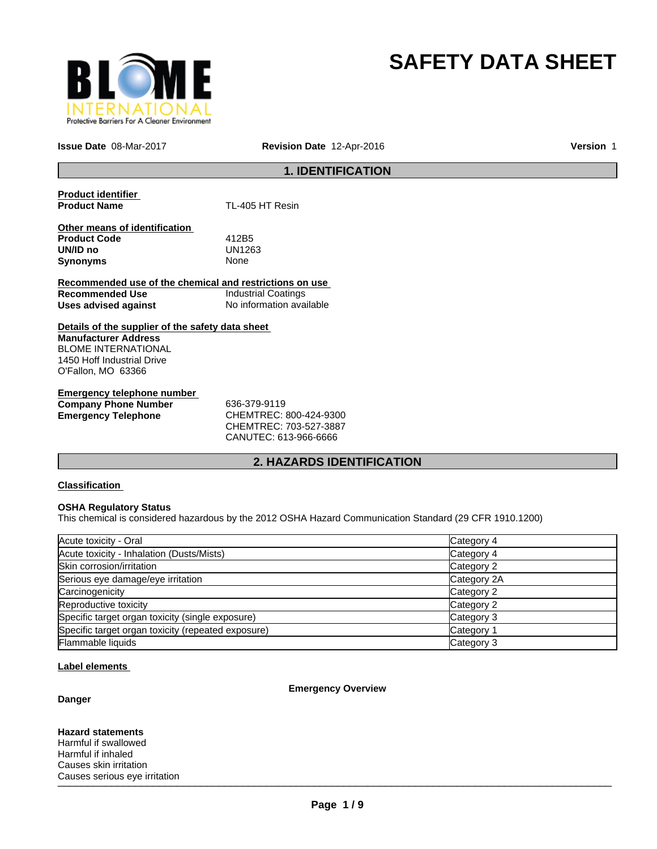

# **SAFETY DATA SHEET**

**Issue Date** 08-Mar-2017

**Revision Date** 12-Apr-2016 **Version** 1

# **1. IDENTIFICATION**

**Product identifier TL-405 HT Resin** 

**Other means of identification Product Code** 412B5 **UN/ID no** UN12<br>**Synonyms** None **Synonyms** 

**Recommended use of the chemical and restrictions on use Recommended Use** Industrial Coatings **Uses advised against** No information available

**Details of the supplier of the safety data sheet Manufacturer Address** BLOME INTERNATIONAL 1450 Hoff Industrial Drive O'Fallon, MO 63366

**Emergency telephone number Company Phone Number** 636-379-9119

**Emergency Telephone** CHEMTREC: 800-424-9300 CHEMTREC: 703-527-3887 CANUTEC: 613-966-6666

# **2. HAZARDS IDENTIFICATION**

# **Classification**

# **OSHA Regulatory Status**

This chemical is considered hazardous by the 2012 OSHA Hazard Communication Standard (29 CFR 1910.1200)

| Acute toxicity - Oral                              | Category 4  |
|----------------------------------------------------|-------------|
| Acute toxicity - Inhalation (Dusts/Mists)          | Category 4  |
| Skin corrosion/irritation                          | Category 2  |
| Serious eye damage/eye irritation                  | Category 2A |
| Carcinogenicity                                    | Category 2  |
| Reproductive toxicity                              | Category 2  |
| Specific target organ toxicity (single exposure)   | Category 3  |
| Specific target organ toxicity (repeated exposure) | Category 1  |
| Flammable liquids                                  | Category 3  |

# **Label elements**

# **Danger**

**Emergency Overview**

 $\blacksquare$ **Hazard statements** Harmful if swallowed Harmful if inhaled Causes skin irritation Causes serious eye irritation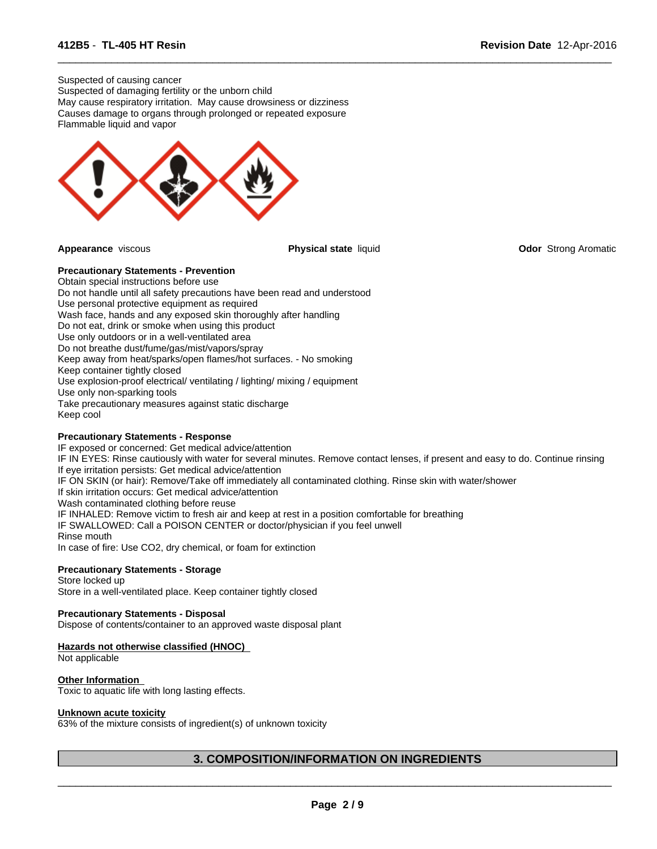Suspected of causing cancer Suspected of damaging fertility or the unborn child May cause respiratory irritation. May cause drowsiness or dizziness Causes damage to organs through prolonged or repeated exposure Flammable liquid and vapor



 $\overline{\phantom{a}}$  ,  $\overline{\phantom{a}}$  ,  $\overline{\phantom{a}}$  ,  $\overline{\phantom{a}}$  ,  $\overline{\phantom{a}}$  ,  $\overline{\phantom{a}}$  ,  $\overline{\phantom{a}}$  ,  $\overline{\phantom{a}}$  ,  $\overline{\phantom{a}}$  ,  $\overline{\phantom{a}}$  ,  $\overline{\phantom{a}}$  ,  $\overline{\phantom{a}}$  ,  $\overline{\phantom{a}}$  ,  $\overline{\phantom{a}}$  ,  $\overline{\phantom{a}}$  ,  $\overline{\phantom{a}}$ 

**Appearance** viscous **Physical state** liquid **Odor** Strong Aromatic

# **Precautionary Statements - Prevention**

Obtain special instructions before use Do not handle until all safety precautions have been read and understood Use personal protective equipment as required Wash face, hands and any exposed skin thoroughly after handling Do not eat, drink or smoke when using this product Use only outdoors or in a well-ventilated area Do not breathe dust/fume/gas/mist/vapors/spray Keep away from heat/sparks/open flames/hot surfaces. - No smoking Keep container tightly closed Use explosion-proof electrical/ ventilating / lighting/ mixing / equipment Use only non-sparking tools Take precautionary measures against static discharge Keep cool

# **Precautionary Statements - Response**

IF exposed or concerned: Get medical advice/attention IF IN EYES: Rinse cautiously with water for several minutes. Remove contact lenses, if present and easy to do. Continue rinsing If eye irritation persists: Get medical advice/attention IF ON SKIN (or hair): Remove/Take off immediately all contaminated clothing. Rinse skin with water/shower If skin irritation occurs: Get medical advice/attention Wash contaminated clothing before reuse IF INHALED: Remove victim to fresh air and keep at rest in a position comfortable for breathing IF SWALLOWED: Call a POISON CENTER or doctor/physician if you feel unwell Rinse mouth In case of fire: Use CO2, dry chemical, or foam for extinction

# **Precautionary Statements - Storage**

Store locked up Store in a well-ventilated place. Keep container tightly closed

# **Precautionary Statements - Disposal**

Dispose of contents/container to an approved waste disposal plant

#### **Hazards not otherwise classified (HNOC)**

Not applicable

# **Other Information**

Toxic to aquatic life with long lasting effects.

#### **Unknown acute toxicity**

63% of the mixture consists of ingredient(s) of unknown toxicity

# **3. COMPOSITION/INFORMATION ON INGREDIENTS**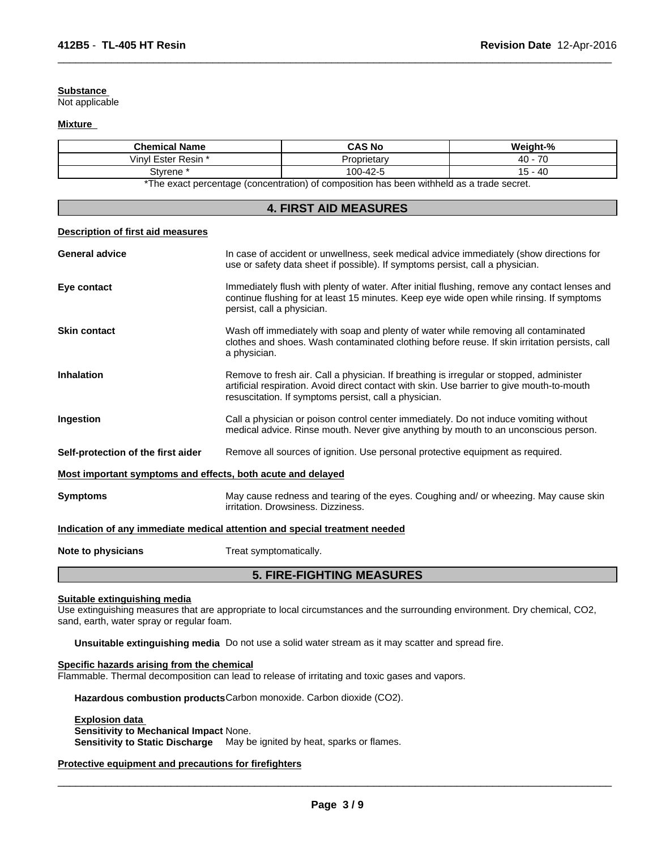# **Substance**

Not applicable

### **Mixture**

| <b>Chemical Name</b>                                                                                  | <b>CAS No</b> | Weight-%                              |  |
|-------------------------------------------------------------------------------------------------------|---------------|---------------------------------------|--|
| /inyl<br>* Ester Resin                                                                                | Proprietary   | $\overline{\phantom{a}}$<br>40<br>7 U |  |
| Stvrene                                                                                               | 100-42-5      | .40<br>. .<br>ັ                       |  |
| ∀The concentraces state as focus sentented \ of sense self-se have been collebed to a large de second |               |                                       |  |

 $\overline{\phantom{a}}$  ,  $\overline{\phantom{a}}$  ,  $\overline{\phantom{a}}$  ,  $\overline{\phantom{a}}$  ,  $\overline{\phantom{a}}$  ,  $\overline{\phantom{a}}$  ,  $\overline{\phantom{a}}$  ,  $\overline{\phantom{a}}$  ,  $\overline{\phantom{a}}$  ,  $\overline{\phantom{a}}$  ,  $\overline{\phantom{a}}$  ,  $\overline{\phantom{a}}$  ,  $\overline{\phantom{a}}$  ,  $\overline{\phantom{a}}$  ,  $\overline{\phantom{a}}$  ,  $\overline{\phantom{a}}$ 

The exact percentage (concentration) of composition has been withheld as a trade secret.

| <b>4. FIRST AID MEASURES</b>                                |                                                                                                                                                                                                                                                |  |  |  |
|-------------------------------------------------------------|------------------------------------------------------------------------------------------------------------------------------------------------------------------------------------------------------------------------------------------------|--|--|--|
| Description of first aid measures                           |                                                                                                                                                                                                                                                |  |  |  |
| <b>General advice</b>                                       | In case of accident or unwellness, seek medical advice immediately (show directions for<br>use or safety data sheet if possible). If symptoms persist, call a physician.                                                                       |  |  |  |
| Eye contact                                                 | Immediately flush with plenty of water. After initial flushing, remove any contact lenses and<br>continue flushing for at least 15 minutes. Keep eye wide open while rinsing. If symptoms<br>persist, call a physician.                        |  |  |  |
| <b>Skin contact</b>                                         | Wash off immediately with soap and plenty of water while removing all contaminated<br>clothes and shoes. Wash contaminated clothing before reuse. If skin irritation persists, call<br>a physician.                                            |  |  |  |
| <b>Inhalation</b>                                           | Remove to fresh air. Call a physician. If breathing is irregular or stopped, administer<br>artificial respiration. Avoid direct contact with skin. Use barrier to give mouth-to-mouth<br>resuscitation. If symptoms persist, call a physician. |  |  |  |
| Ingestion                                                   | Call a physician or poison control center immediately. Do not induce vomiting without<br>medical advice. Rinse mouth. Never give anything by mouth to an unconscious person.                                                                   |  |  |  |
| Self-protection of the first aider                          | Remove all sources of ignition. Use personal protective equipment as required.                                                                                                                                                                 |  |  |  |
| Most important symptoms and effects, both acute and delayed |                                                                                                                                                                                                                                                |  |  |  |
| <b>Symptoms</b>                                             | May cause redness and tearing of the eyes. Coughing and/ or wheezing. May cause skin<br>irritation. Drowsiness. Dizziness.                                                                                                                     |  |  |  |
|                                                             | Indication of any immediate medical attention and special treatment needed                                                                                                                                                                     |  |  |  |
| Note to physicians                                          | Treat symptomatically.                                                                                                                                                                                                                         |  |  |  |
|                                                             | <b>5. FIRE-FIGHTING MEASURES</b>                                                                                                                                                                                                               |  |  |  |

#### **Suitable extinguishing media**

Use extinguishing measures that are appropriate to local circumstances and the surrounding environment. Dry chemical, CO2, sand, earth, water spray or regular foam.

**Unsuitable extinguishing media** Do not use a solid water stream as it may scatter and spread fire.

# **Specific hazards arising from the chemical**

Flammable. Thermal decomposition can lead to release of irritating and toxic gases and vapors.

**Hazardous combustion products**Carbon monoxide. Carbon dioxide (CO2).

# **Explosion data Sensitivity to Mechanical Impact** None.

**Sensitivity to Static Discharge** May be ignited by heat, sparks or flames.

# **Protective equipment and precautions for firefighters**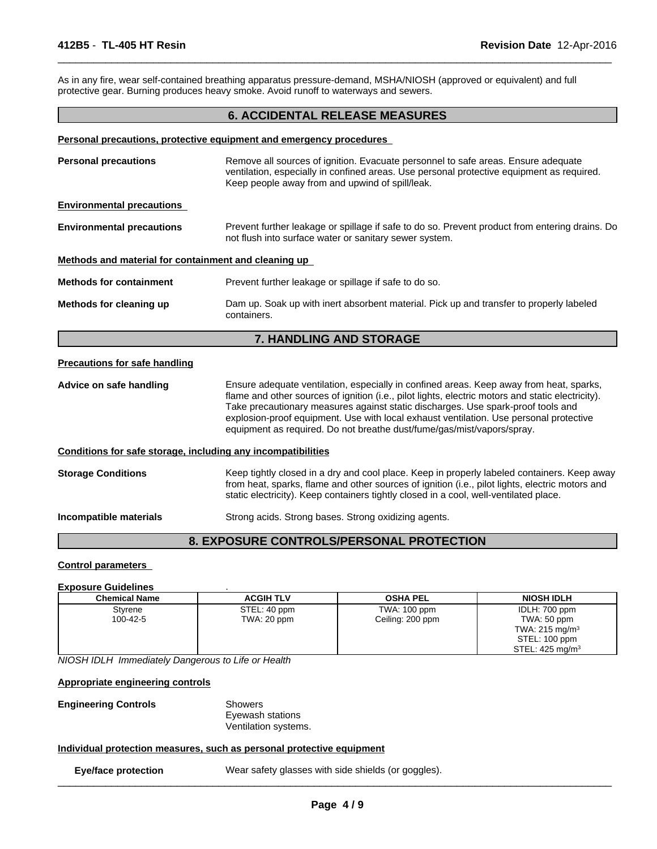As in any fire, wear self-contained breathing apparatus pressure-demand, MSHA/NIOSH (approved or equivalent) and full protective gear. Burning produces heavy smoke. Avoid runoff to waterways and sewers.

# **6. ACCIDENTAL RELEASE MEASURES**

 $\overline{\phantom{a}}$  ,  $\overline{\phantom{a}}$  ,  $\overline{\phantom{a}}$  ,  $\overline{\phantom{a}}$  ,  $\overline{\phantom{a}}$  ,  $\overline{\phantom{a}}$  ,  $\overline{\phantom{a}}$  ,  $\overline{\phantom{a}}$  ,  $\overline{\phantom{a}}$  ,  $\overline{\phantom{a}}$  ,  $\overline{\phantom{a}}$  ,  $\overline{\phantom{a}}$  ,  $\overline{\phantom{a}}$  ,  $\overline{\phantom{a}}$  ,  $\overline{\phantom{a}}$  ,  $\overline{\phantom{a}}$ 

#### **Personal precautions, protective equipment and emergency procedures**

| <b>Personal precautions</b>                                  | Remove all sources of ignition. Evacuate personnel to safe areas. Ensure adequate<br>ventilation, especially in confined areas. Use personal protective equipment as required.<br>Keep people away from and upwind of spill/leak.                                                                                                                                                                                                                    |
|--------------------------------------------------------------|------------------------------------------------------------------------------------------------------------------------------------------------------------------------------------------------------------------------------------------------------------------------------------------------------------------------------------------------------------------------------------------------------------------------------------------------------|
| <b>Environmental precautions</b>                             |                                                                                                                                                                                                                                                                                                                                                                                                                                                      |
| <b>Environmental precautions</b>                             | Prevent further leakage or spillage if safe to do so. Prevent product from entering drains. Do<br>not flush into surface water or sanitary sewer system.                                                                                                                                                                                                                                                                                             |
| Methods and material for containment and cleaning up         |                                                                                                                                                                                                                                                                                                                                                                                                                                                      |
| <b>Methods for containment</b>                               | Prevent further leakage or spillage if safe to do so.                                                                                                                                                                                                                                                                                                                                                                                                |
| Methods for cleaning up                                      | Dam up. Soak up with inert absorbent material. Pick up and transfer to properly labeled<br>containers.                                                                                                                                                                                                                                                                                                                                               |
|                                                              | 7. HANDLING AND STORAGE                                                                                                                                                                                                                                                                                                                                                                                                                              |
| <b>Precautions for safe handling</b>                         |                                                                                                                                                                                                                                                                                                                                                                                                                                                      |
| Advice on safe handling                                      | Ensure adequate ventilation, especially in confined areas. Keep away from heat, sparks,<br>flame and other sources of ignition (i.e., pilot lights, electric motors and static electricity).<br>Take precautionary measures against static discharges. Use spark-proof tools and<br>explosion-proof equipment. Use with local exhaust ventilation. Use personal protective<br>equipment as required. Do not breathe dust/fume/gas/mist/vapors/spray. |
| Conditions for safe storage, including any incompatibilities |                                                                                                                                                                                                                                                                                                                                                                                                                                                      |
| <b>Storage Conditions</b>                                    | Keep tightly closed in a dry and cool place. Keep in properly labeled containers. Keep away<br>from heat, sparks, flame and other sources of ignition (i.e., pilot lights, electric motors and<br>static electricity). Keep containers tightly closed in a cool, well-ventilated place.                                                                                                                                                              |
| Incompatible materials                                       | Strong acids. Strong bases. Strong oxidizing agents.                                                                                                                                                                                                                                                                                                                                                                                                 |
|                                                              |                                                                                                                                                                                                                                                                                                                                                                                                                                                      |

# **8. EXPOSURE CONTROLS/PERSONAL PROTECTION**

# **Control parameters**

#### **Exposure Guidelines** .

| <b>Chemical Name</b> | <b>ACGIH TLV</b> | <b>OSHA PEL</b>  | <b>NIOSH IDLH</b>          |
|----------------------|------------------|------------------|----------------------------|
| Styrene              | STEL: 40 ppm     | TWA: 100 ppm     | IDLH: 700 ppm              |
| 100-42-5             | TWA: 20 ppm      | Ceiling: 200 ppm | TWA: 50 ppm                |
|                      |                  |                  | TWA: $215 \text{ mg/m}^3$  |
|                      |                  |                  | STEL: 100 ppm              |
|                      |                  |                  | STEL: $425 \text{ mg/m}^3$ |

*NIOSH IDLH Immediately Dangerous to Life or Health*

**Appropriate engineering controls**

**Engineering Controls** Showers

Eyewash stations Ventilation systems.

# **Individual protection measures, such as personal protective equipment**

**Eye/face protection** Wear safety glasses with side shields (or goggles).  $\_$  ,  $\_$  ,  $\_$  ,  $\_$  ,  $\_$  ,  $\_$  ,  $\_$  ,  $\_$  ,  $\_$  ,  $\_$  ,  $\_$  ,  $\_$  ,  $\_$  ,  $\_$  ,  $\_$  ,  $\_$  ,  $\_$  ,  $\_$  ,  $\_$  ,  $\_$  ,  $\_$  ,  $\_$  ,  $\_$  ,  $\_$  ,  $\_$  ,  $\_$  ,  $\_$  ,  $\_$  ,  $\_$  ,  $\_$  ,  $\_$  ,  $\_$  ,  $\_$  ,  $\_$  ,  $\_$  ,  $\_$  ,  $\_$  ,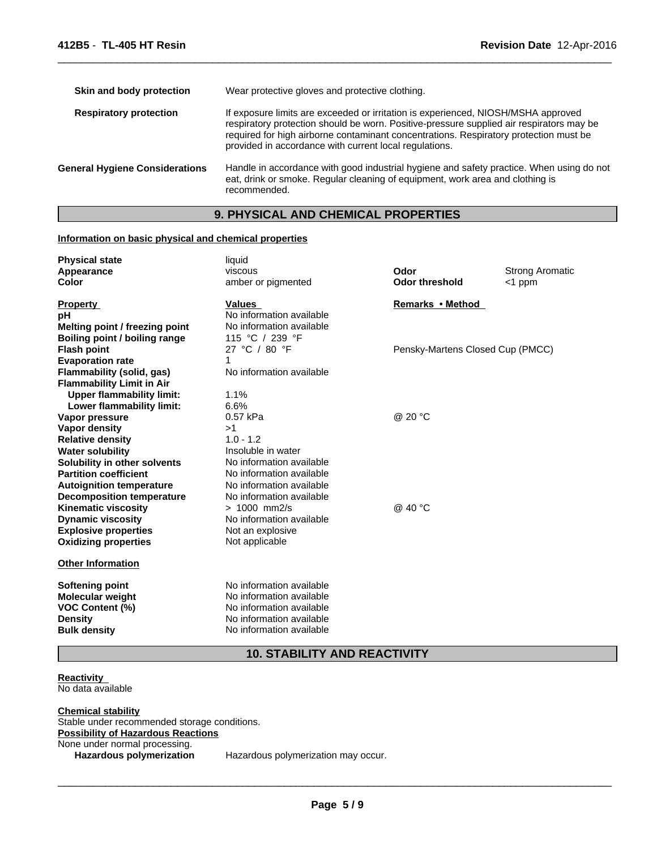| Skin and body protection              | Wear protective gloves and protective clothing.                                                                                                                                                                                                                                                                                  |
|---------------------------------------|----------------------------------------------------------------------------------------------------------------------------------------------------------------------------------------------------------------------------------------------------------------------------------------------------------------------------------|
| <b>Respiratory protection</b>         | If exposure limits are exceeded or irritation is experienced, NIOSH/MSHA approved<br>respiratory protection should be worn. Positive-pressure supplied air respirators may be<br>required for high airborne contaminant concentrations. Respiratory protection must be<br>provided in accordance with current local regulations. |
| <b>General Hygiene Considerations</b> | Handle in accordance with good industrial hygiene and safety practice. When using do not<br>eat, drink or smoke. Regular cleaning of equipment, work area and clothing is<br>recommended.                                                                                                                                        |
|                                       |                                                                                                                                                                                                                                                                                                                                  |

 $\overline{\phantom{a}}$  ,  $\overline{\phantom{a}}$  ,  $\overline{\phantom{a}}$  ,  $\overline{\phantom{a}}$  ,  $\overline{\phantom{a}}$  ,  $\overline{\phantom{a}}$  ,  $\overline{\phantom{a}}$  ,  $\overline{\phantom{a}}$  ,  $\overline{\phantom{a}}$  ,  $\overline{\phantom{a}}$  ,  $\overline{\phantom{a}}$  ,  $\overline{\phantom{a}}$  ,  $\overline{\phantom{a}}$  ,  $\overline{\phantom{a}}$  ,  $\overline{\phantom{a}}$  ,  $\overline{\phantom{a}}$ 

# **9. PHYSICAL AND CHEMICAL PROPERTIES**

# **Information on basic physical and chemical properties**

| <b>Physical state</b><br>Appearance<br>Color                         | liquid<br>viscous<br>amber or pigmented | Odor<br><b>Odor threshold</b>    | <b>Strong Aromatic</b><br><1 ppm |
|----------------------------------------------------------------------|-----------------------------------------|----------------------------------|----------------------------------|
| <b>Property</b>                                                      | <b>Values</b>                           | Remarks • Method                 |                                  |
| рH                                                                   | No information available                |                                  |                                  |
| Melting point / freezing point                                       | No information available                |                                  |                                  |
| Boiling point / boiling range                                        | 115 °C / 239 °F                         |                                  |                                  |
| <b>Flash point</b>                                                   | 27 °C / 80 °F<br>1                      | Pensky-Martens Closed Cup (PMCC) |                                  |
| <b>Evaporation rate</b>                                              | No information available                |                                  |                                  |
| Flammability (solid, gas)                                            |                                         |                                  |                                  |
| <b>Flammability Limit in Air</b><br><b>Upper flammability limit:</b> | 1.1%                                    |                                  |                                  |
| Lower flammability limit:                                            | 6.6%                                    |                                  |                                  |
| Vapor pressure                                                       | 0.57 kPa                                | @ 20 °C                          |                                  |
| <b>Vapor density</b>                                                 | >1                                      |                                  |                                  |
| <b>Relative density</b>                                              | $1.0 - 1.2$                             |                                  |                                  |
| <b>Water solubility</b>                                              | Insoluble in water                      |                                  |                                  |
| Solubility in other solvents                                         | No information available                |                                  |                                  |
| <b>Partition coefficient</b>                                         | No information available                |                                  |                                  |
| <b>Autoignition temperature</b>                                      | No information available                |                                  |                                  |
| <b>Decomposition temperature</b>                                     | No information available                |                                  |                                  |
| <b>Kinematic viscosity</b>                                           | $> 1000$ mm2/s                          | @ 40 °C                          |                                  |
| <b>Dynamic viscosity</b>                                             | No information available                |                                  |                                  |
| <b>Explosive properties</b>                                          | Not an explosive                        |                                  |                                  |
| <b>Oxidizing properties</b>                                          | Not applicable                          |                                  |                                  |
| <b>Other Information</b>                                             |                                         |                                  |                                  |
| <b>Softening point</b>                                               | No information available                |                                  |                                  |
| <b>Molecular weight</b>                                              | No information available                |                                  |                                  |
| <b>VOC Content (%)</b>                                               | No information available                |                                  |                                  |
| <b>Density</b>                                                       | No information available                |                                  |                                  |
| <b>Bulk density</b>                                                  | No information available                |                                  |                                  |

**10. STABILITY AND REACTIVITY**

# **Reactivity**  No data available

**Chemical stability** Stable under recommended storage conditions. **Possibility of Hazardous Reactions** None under normal processing. **Hazardous polymerization** Hazardous polymerization may occur.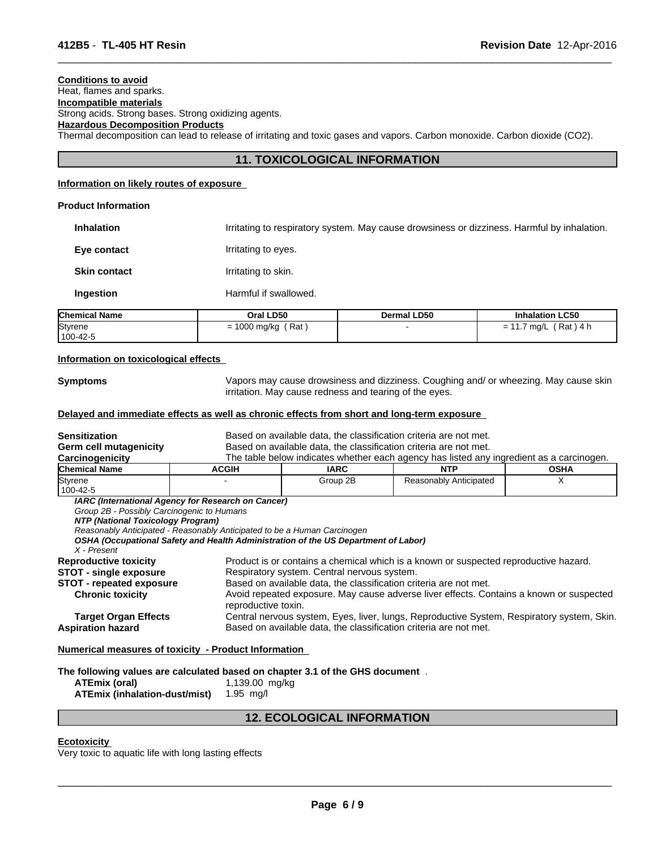# **Conditions to avoid**

Heat, flames and sparks.

**Incompatible materials** Strong acids. Strong bases. Strong oxidizing agents.

# **Hazardous Decomposition Products**

Thermal decomposition can lead to release of irritating and toxic gases and vapors. Carbon monoxide. Carbon dioxide (CO2).

# **11. TOXICOLOGICAL INFORMATION**

 $\overline{\phantom{a}}$  ,  $\overline{\phantom{a}}$  ,  $\overline{\phantom{a}}$  ,  $\overline{\phantom{a}}$  ,  $\overline{\phantom{a}}$  ,  $\overline{\phantom{a}}$  ,  $\overline{\phantom{a}}$  ,  $\overline{\phantom{a}}$  ,  $\overline{\phantom{a}}$  ,  $\overline{\phantom{a}}$  ,  $\overline{\phantom{a}}$  ,  $\overline{\phantom{a}}$  ,  $\overline{\phantom{a}}$  ,  $\overline{\phantom{a}}$  ,  $\overline{\phantom{a}}$  ,  $\overline{\phantom{a}}$ 

# **Information on likely routes of exposure**

## **Product Information**

**Inhalation** Irritating to respiratory system. May cause drowsiness or dizziness. Harmful by inhalation. **Eye contact I**rritating to eyes. **Skin contact Irritating to skin. Ingestion** Harmful if swallowed.

| <b>Chemical Name</b> | Oral LD50                             | <b>Dermal LD50</b> | <b>Inhalation LC50</b>     |
|----------------------|---------------------------------------|--------------------|----------------------------|
| Styrene<br>100-42-5  | Rat<br>$\sim$<br>1000 mg/kg<br>-<br>- |                    | Rat,<br>\ 4 h<br>ma/L<br>- |

#### **Information on toxicological effects**

**Symptoms** Vapors may cause drowsiness and dizziness. Coughing and/ or wheezing. May cause skin irritation. May cause redness and tearing of the eyes.

# **Delayed and immediate effects as well as chronic effects from short and long-term exposure**

| Sensitization                                                                                                               |                                                                                                                                                                | Based on available data, the classification criteria are not met.                                                |                                                                                                                                                                                 |             |
|-----------------------------------------------------------------------------------------------------------------------------|----------------------------------------------------------------------------------------------------------------------------------------------------------------|------------------------------------------------------------------------------------------------------------------|---------------------------------------------------------------------------------------------------------------------------------------------------------------------------------|-------------|
| Germ cell mutagenicity                                                                                                      |                                                                                                                                                                | Based on available data, the classification criteria are not met.                                                |                                                                                                                                                                                 |             |
| Carcinogenicity                                                                                                             |                                                                                                                                                                |                                                                                                                  | The table below indicates whether each agency has listed any ingredient as a carcinogen.                                                                                        |             |
| Chemical Name                                                                                                               | <b>ACGIH</b>                                                                                                                                                   | <b>IARC</b>                                                                                                      | <b>NTP</b>                                                                                                                                                                      | <b>OSHA</b> |
| <b>Styrene</b>                                                                                                              |                                                                                                                                                                | Group 2B                                                                                                         | Reasonably Anticipated                                                                                                                                                          | X           |
| 100-42-5                                                                                                                    |                                                                                                                                                                |                                                                                                                  |                                                                                                                                                                                 |             |
| Group 2B - Possibly Carcinogenic to Humans<br>NTP (National Toxicology Program)<br>X - Present                              | Reasonably Anticipated - Reasonably Anticipated to be a Human Carcinogen<br>OSHA (Occupational Safety and Health Administration of the US Department of Labor) |                                                                                                                  |                                                                                                                                                                                 |             |
| <b>Reproductive toxicity</b><br><b>STOT - single exposure</b><br><b>STOT - repeated exposure</b><br><b>Chronic toxicity</b> | reproductive toxin.                                                                                                                                            | Respiratory system. Central nervous system.<br>Based on available data, the classification criteria are not met. | Product is or contains a chemical which is a known or suspected reproductive hazard.<br>Avoid repeated exposure. May cause adverse liver effects. Contains a known or suspected |             |
| <b>Target Organ Effects</b><br>Aspiration hazard                                                                            |                                                                                                                                                                | Based on available data, the classification criteria are not met.                                                | Central nervous system, Eyes, liver, lungs, Reproductive System, Respiratory system, Skin.                                                                                      |             |

**Numerical measures of toxicity - Product Information** 

**The following values are calculated based on chapter 3.1 of the GHS document** .

| ATEmix (oral)                 | 1,139.00 mg/kg |
|-------------------------------|----------------|
| ATEmix (inhalation-dust/mist) | 1.95 mg/l      |

# **12. ECOLOGICAL INFORMATION**

### **Ecotoxicity**

Very toxic to aquatic life with long lasting effects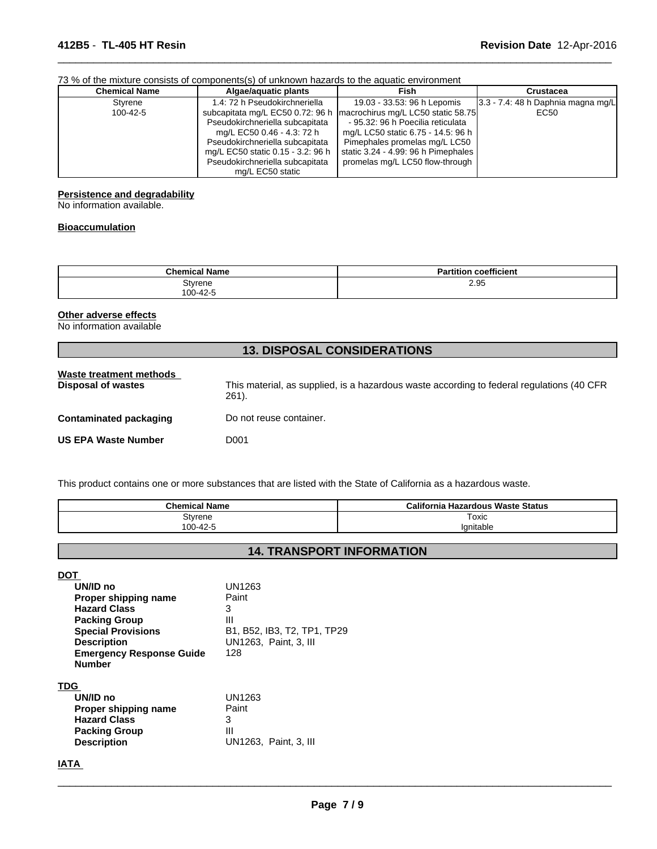#### 73 % of the mixture consists of components(s) of unknown hazards to the aquatic environment

| <b>Chemical Name</b> | Algae/aquatic plants              | Fish                                | Crustacea                               |
|----------------------|-----------------------------------|-------------------------------------|-----------------------------------------|
| Styrene              | 1.4: 72 h Pseudokirchneriella     | 19.03 - 33.53: 96 h Lepomis         | $ 3.3 - 7.4 $ : 48 h Daphnia magna mg/L |
| 100-42-5             | subcapitata mg/L EC50 0.72: 96 h  | macrochirus mg/L LC50 static 58.75  | EC50                                    |
|                      | Pseudokirchneriella subcapitata   | - 95.32: 96 h Poecilia reticulata   |                                         |
|                      | mg/L EC50 0.46 - 4.3: 72 h        | mg/L LC50 static 6.75 - 14.5: 96 h  |                                         |
|                      | Pseudokirchneriella subcapitata   | Pimephales promelas mg/L LC50       |                                         |
|                      | mg/L EC50 static 0.15 - 3.2: 96 h | static 3.24 - 4.99: 96 h Pimephales |                                         |
|                      | Pseudokirchneriella subcapitata   | promelas mg/L LC50 flow-through     |                                         |
|                      | mg/L EC50 static                  |                                     |                                         |

 $\overline{\phantom{a}}$  ,  $\overline{\phantom{a}}$  ,  $\overline{\phantom{a}}$  ,  $\overline{\phantom{a}}$  ,  $\overline{\phantom{a}}$  ,  $\overline{\phantom{a}}$  ,  $\overline{\phantom{a}}$  ,  $\overline{\phantom{a}}$  ,  $\overline{\phantom{a}}$  ,  $\overline{\phantom{a}}$  ,  $\overline{\phantom{a}}$  ,  $\overline{\phantom{a}}$  ,  $\overline{\phantom{a}}$  ,  $\overline{\phantom{a}}$  ,  $\overline{\phantom{a}}$  ,  $\overline{\phantom{a}}$ 

# **Persistence and degradability**

No information available.

# **Bioaccumulation**

| <b>Chemical Name</b> | <b>Partition coefficient</b> |
|----------------------|------------------------------|
| Styrene              | 2.95                         |
| 100-42-5             |                              |

# **Other adverse effects**

No information available

| <b>13. DISPOSAL CONSIDERATIONS</b>                   |                                                                                                    |  |  |
|------------------------------------------------------|----------------------------------------------------------------------------------------------------|--|--|
| Waste treatment methods<br><b>Disposal of wastes</b> | This material, as supplied, is a hazardous waste according to federal regulations (40 CFR<br>261). |  |  |
| <b>Contaminated packaging</b>                        | Do not reuse container.                                                                            |  |  |
| <b>US EPA Waste Number</b>                           | D001                                                                                               |  |  |

This product contains one or more substances that are listed with the State of California as a hazardous waste.

| <b>Chemical Name</b> | California Hazardous Waste Status |
|----------------------|-----------------------------------|
| Styrene              | Toxic                             |
| 100-42-5             | Ignitable                         |

# **14. TRANSPORT INFORMATION**

**DOT** 

| UN/ID no                        | UN1263                      |
|---------------------------------|-----------------------------|
| Proper shipping name            | Paint                       |
| <b>Hazard Class</b>             | 3                           |
| <b>Packing Group</b>            | Ш                           |
| <b>Special Provisions</b>       | B1, B52, IB3, T2, TP1, TP29 |
| <b>Description</b>              | UN1263, Paint, 3, III       |
| <b>Emergency Response Guide</b> | 128                         |
| <b>Number</b>                   |                             |
| <b>TDG</b>                      |                             |
| UN/ID no                        | UN1263                      |
| Proper shipping name            | Paint                       |
| <b>Hazard Class</b>             | 3                           |
| <b>Packing Group</b>            | Ш                           |
| <b>Description</b>              | UN1263. Paint. 3. III       |
|                                 |                             |

**IATA**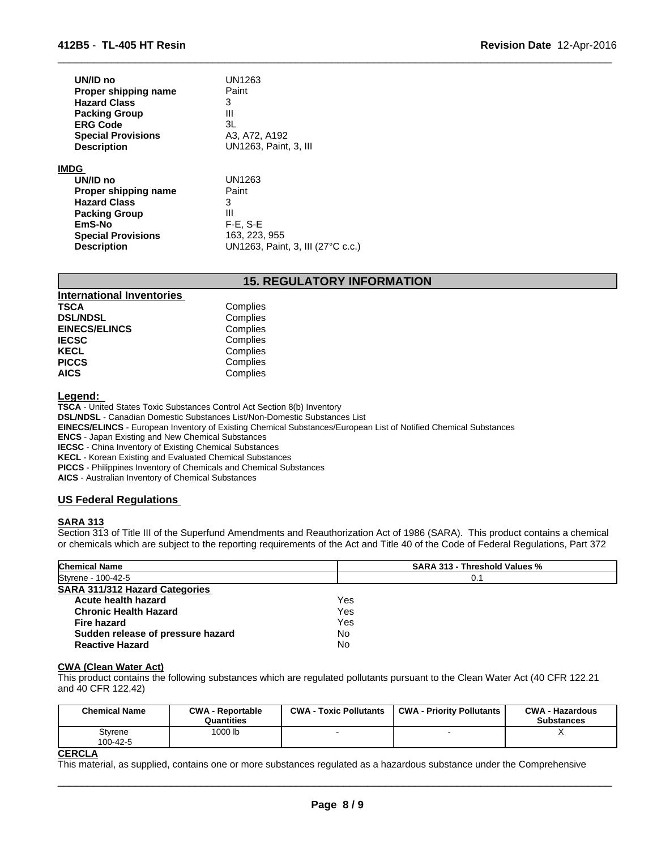| UN/ID no                  | <b>UN1263</b>                     |
|---------------------------|-----------------------------------|
| Proper shipping name      | Paint                             |
| <b>Hazard Class</b>       | 3                                 |
| <b>Packing Group</b>      | Ш                                 |
| <b>ERG Code</b>           | 3L                                |
| <b>Special Provisions</b> | A3, A72, A192                     |
| <b>Description</b>        | UN1263, Paint, 3, III             |
| IMDG                      |                                   |
| UN/ID no                  | UN1263                            |
| Proper shipping name      | Paint                             |
| <b>Hazard Class</b>       | 3                                 |
| <b>Packing Group</b>      | Ш                                 |
| EmS-No                    | $F-E$ , $S-E$                     |
| <b>Special Provisions</b> | 163, 223, 955                     |
| <b>Description</b>        | UN1263, Paint, 3, III (27°C c.c.) |

# **15. REGULATORY INFORMATION**

 $\overline{\phantom{a}}$  ,  $\overline{\phantom{a}}$  ,  $\overline{\phantom{a}}$  ,  $\overline{\phantom{a}}$  ,  $\overline{\phantom{a}}$  ,  $\overline{\phantom{a}}$  ,  $\overline{\phantom{a}}$  ,  $\overline{\phantom{a}}$  ,  $\overline{\phantom{a}}$  ,  $\overline{\phantom{a}}$  ,  $\overline{\phantom{a}}$  ,  $\overline{\phantom{a}}$  ,  $\overline{\phantom{a}}$  ,  $\overline{\phantom{a}}$  ,  $\overline{\phantom{a}}$  ,  $\overline{\phantom{a}}$ 

| <b>International Inventories</b> |          |  |
|----------------------------------|----------|--|
| <b>TSCA</b>                      | Complies |  |
| <b>DSL/NDSL</b>                  | Complies |  |
| <b>EINECS/ELINCS</b>             | Complies |  |
| <b>IECSC</b>                     | Complies |  |
| <b>KECL</b>                      | Complies |  |
| <b>PICCS</b>                     | Complies |  |
| <b>AICS</b>                      | Complies |  |

#### **Legend:**

**TSCA** - United States Toxic Substances Control Act Section 8(b) Inventory **DSL/NDSL** - Canadian Domestic Substances List/Non-Domestic Substances List

**EINECS/ELINCS** - European Inventory of Existing Chemical Substances/European List of Notified Chemical Substances

**ENCS** - Japan Existing and New Chemical Substances

**IECSC** - China Inventory of Existing Chemical Substances

**KECL** - Korean Existing and Evaluated Chemical Substances

**PICCS** - Philippines Inventory of Chemicals and Chemical Substances

**AICS** - Australian Inventory of Chemical Substances

# **US Federal Regulations**

# **SARA 313**

Section 313 of Title III of the Superfund Amendments and Reauthorization Act of 1986 (SARA). This product contains a chemical or chemicals which are subject to the reporting requirements of the Act and Title 40 of the Code of Federal Regulations, Part 372

| <b>Chemical Name</b>                  | <b>SARA 313 - Threshold Values %</b> |  |
|---------------------------------------|--------------------------------------|--|
| Styrene - 100-42-5                    | 0.1                                  |  |
| <b>SARA 311/312 Hazard Categories</b> |                                      |  |
| Acute health hazard                   | Yes                                  |  |
| <b>Chronic Health Hazard</b>          | Yes                                  |  |
| Fire hazard                           | Yes                                  |  |
| Sudden release of pressure hazard     | No                                   |  |
| <b>Reactive Hazard</b>                | No                                   |  |

#### **CWA (Clean Water Act)**

This product contains the following substances which are regulated pollutants pursuant to the Clean Water Act (40 CFR 122.21 and 40 CFR 122.42)

| <b>Chemical Name</b> | <b>CWA - Reportable</b><br>Quantities | <b>CWA - Toxic Pollutants</b> | <b>CWA - Priority Pollutants</b> | <b>CWA - Hazardous</b><br><b>Substances</b> |
|----------------------|---------------------------------------|-------------------------------|----------------------------------|---------------------------------------------|
| Styrene<br>100-42-5  | 1000 lb                               |                               |                                  |                                             |

# **CERCLA**

This material, as supplied, contains one or more substances regulated as a hazardous substance under the Comprehensive